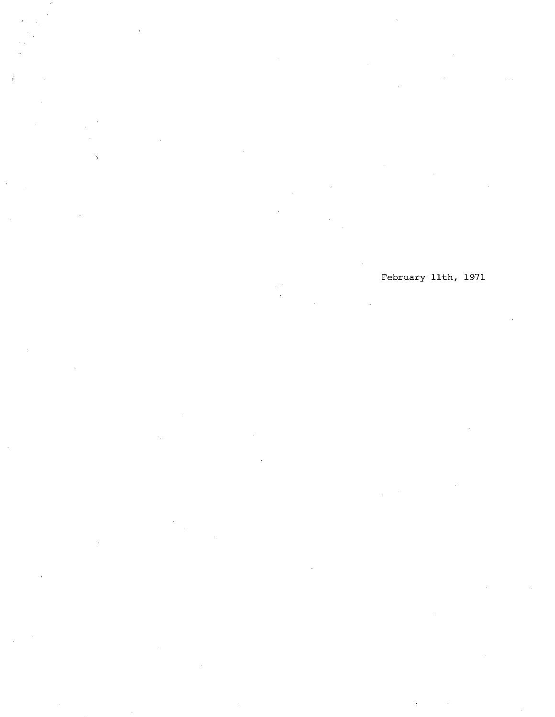$\mathcal{L}_{\mathcal{L}}$ 

February 11th, 1971

iji e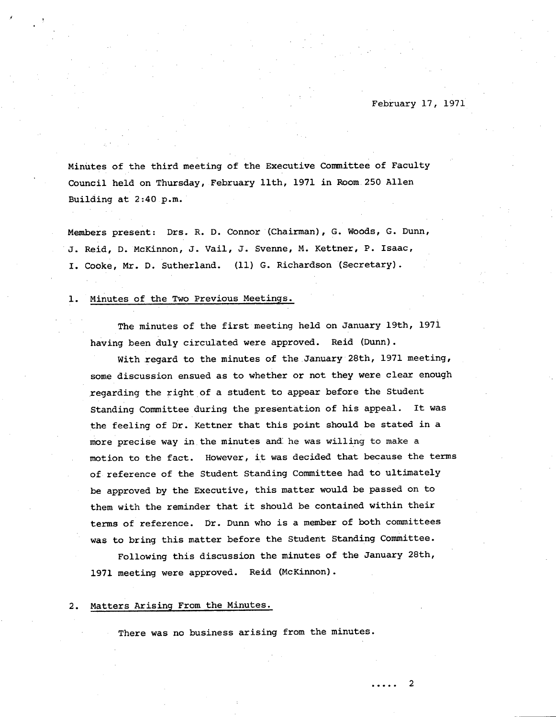Minutes of the third meeting of the Executive Committee of Faculty Council held on Thursday, February 11th, 1971 in Room. 250 Allen Building at 2:40 p.m.

Members present: Drs. R. D. Connor (Chairman), G. Woods, G. Dunn, J. Reid, D. McKinnon, J. Vail, J. Sverine, M. Kettner, P. Isaac, I. Cooke, Mr. D. Sutherland. (11) G. Richardson (Secretary).

#### Minutes of the Two Previous Meetings. 1.

The minutes of the first meeting held on January 19th, 1971 having been duly circulated were approved. Reid (Dunn).

With regard to the minutes of the January 28th, 1971 meeting, some discussion ensued as to whether or not they were clear enough regarding the right of a student to appear before the Student Standing Committee during the presentation of his appeal. It was the feeling of Dr. Kettner that this point should be stated in a more precise way in the minutes and: he was willing to make a motion to the fact. However, it was decided that because the terms of reference of the Student Standing Committee had to ultimately be approved by the Executive, this matter would be passed on to them with the reminder that it should be contained within their terms of reference. Dr. Dunn who is a member of both committees was to bring this matter before the Student Standing Committee.

Following this discussion the minutes of the January 28th, 1971 meeting were approved. Reid (McKinnon).

#### $2.$ Matters Arising From the Minutes.

There was no business arising from the minutes.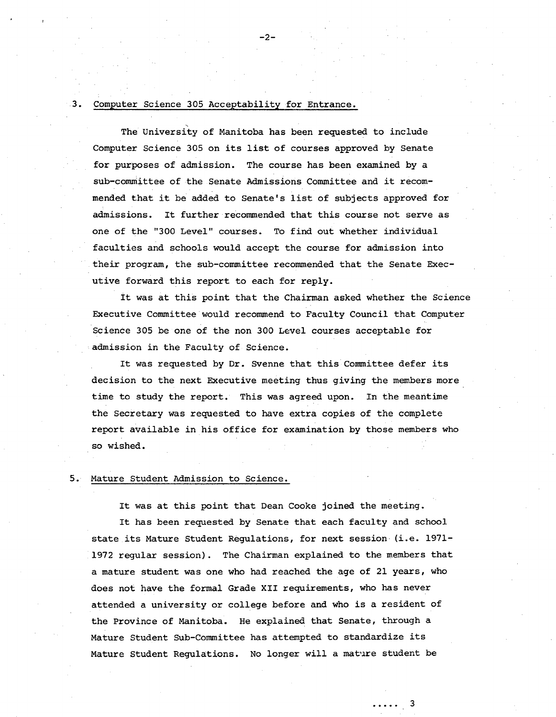## 3. Computer Science 305 Acceptability for Entrance.

The University of Manitoba has been requested to include Computer Science 305 on its list of courses approved by Senate for purposes of admission. The course has been examined by a sub-committee of the Senate Admissions Committee and it recommended that it be added to Senate's list of subjects approved for admissions. It further recommended that this course not serve as one of the "300 Level" courses. To find out whether individual faculties and schools would accept the course for admission into their program, the sub-committee recommended that the Senate Executive forward this report to each for reply.

It was at this point that the Chairman asked whether the Science Executive Committee would recommend to Faculty Council that Computer Science 305 be one of the non 300 Level courses acceptable for admission in the Faculty of Science.

It was requested by Dr. Svenne that this Committee defer its decision to the next Executive meeting thus giving the members more' time to study the report. This was agreed upon. In the meantime the Secretary was requested to have extra copies of the complete report available in his office for examination by those members who so wished.

### 5. Mature Student Admission to Science.

It was at this point that Dean Cooke joined the meeting.

It has been requested by Senate that each faculty and school state its Mature Student Regulations, for next session (i.e. 1971- 1972 regular session). The Chairman explained to the members that a mature student was one who had reached the age of 21 years, who does not have the formal Grade XII requirements, who has never attended a university or college before and who is a resident of the Province of Manitoba. He explained that Senate, through a Mature Student Sub-Committee has attempted to standardize its Mature Student Regulations. No longer will a mature student be

. . . . . 3

-2-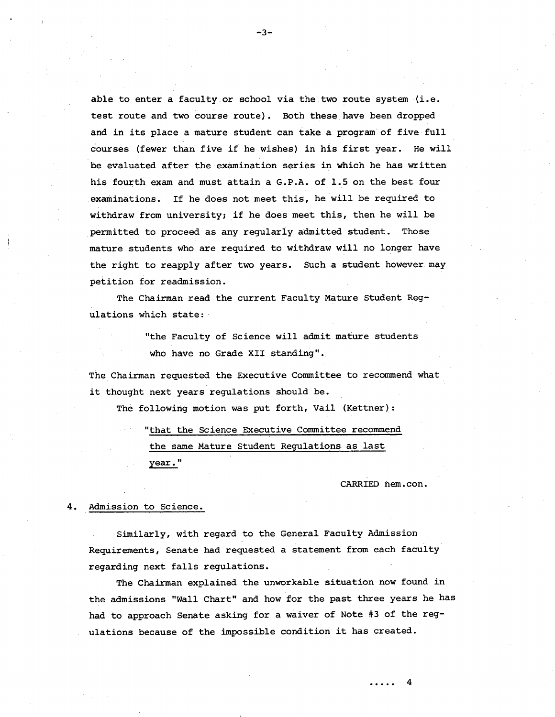able to enter a faculty or school via the two route system (i.e. test route and two course route). Both these have been dropped and in its place a mature student can take a program of five full courses (fewer than five if he wishes) in his first year. He will be evaluated after the examination series in which he has written his fourth exam and must attain a G.P.A. of 1.5 on the best four examinations. If he does not meet this, he will be required to withdraw from university; if he does meet this, then he will be permitted to proceed as any regularly admitted student. Those mature students who are required to withdraw will no longer have the right to reapply after two years. Such a student however may petition for readmission.

The Chairman read the current Faculty Mature Student Regulations which state:

> "the Faculty of Science will admit mature students who have no Grade XII standing".

The Chairman requested the Executive Committee to recommend what it thought next years regulations should be.

The following motion was put forth, Vail (Kettner):

"that the Science Executive Committee recommend the same Mature Student Regulations as last year."

CARRIED nem.con.

### 4. Admission to Science.

Similarly, with regard to the General Faculty Admission Requirements, Senate had requested a statement from each faculty regarding next falls regulations.

The Chairman explained the unworkable situation now found in the admissions "Wall Chart" and how for the past three years he has had to approach Senate asking for a waiver of Note #3 of the regulations because of the impossible condition it has created.

-3-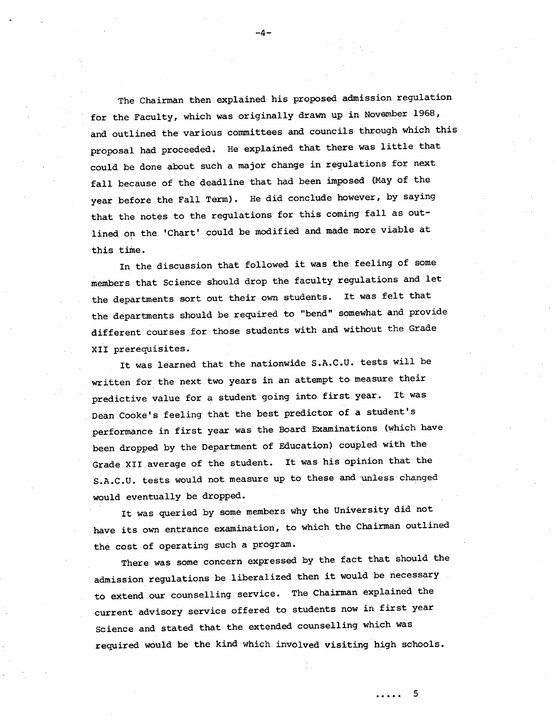The Chairman then explained his proposed admission regulation for the Faculty, which was originally drawn up in November 1968, and outlined the various committees and councils through which this proposal had proceeded. He explained that there was little that could be done about such a major change in regulations for next fall because of the deadline that had been imposed (May of the year before the Fall Term). He did conclude however, by saying that the notes to the regulations for this coming fall as outlined on the 'Chart' could be modified and made more viable at this time.

In the discussion that followed it was the feeling of some members that Science should drop the faculty regulations and let the departments sort out their own students. It was felt that the departments should be required to "bend" somewhat and provide different courses for those students with and without the Grade XII prerequisites.

It was learned that the nationwide S.A.C.U. tests will be written for the next two years in an attempt to measure their predictive value for a student going into first year. It was Dean Cooke's feeling that the best predictor of a student's performance in first year was the Board Examinations (which have been dropped by the Department of Education) coupled with the Grade XII average of the student. It was his opinion that the S.A.C.U. tests would not measure up to these and unlesschanged would eventually be dropped.

It was queried by some members why the University did not have its own entrance examination, to which the Chairman outlined the cost of operating such a program.

There was some concern expressed by the fact that should the admission regulations be liberalized then it would be necessary to extend our counselling service. The Chairman explained the current advisory service offered to students now in first year Science and stated that the extended counselling which was required would be the kind which. involved visiting high schools.

-4-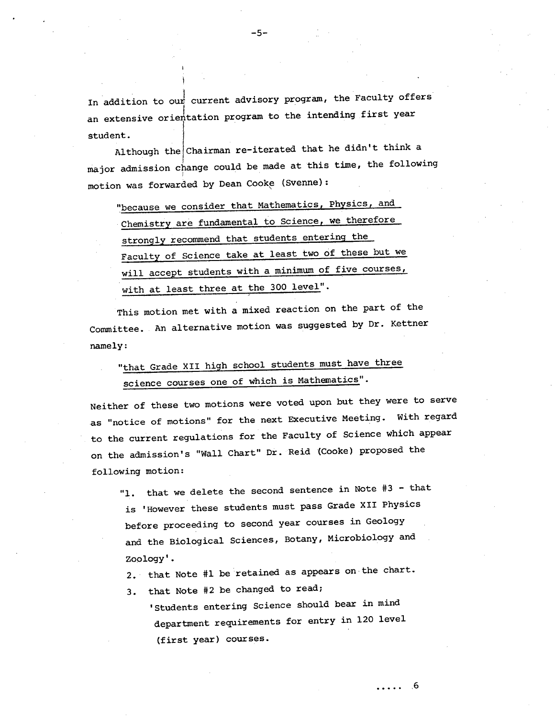In addition to our current advisory program, the Faculty offers an extensive orientation program to the intending first year student.

Although the Chairman re-iterated that he didn't think a major admission change could be made at this time, the following motion was forwarded by Dean Cooke (Svenne):

"because we consider that Mathematics, Physics, and Chemistry are fundamental to Science, we therefore\_ strongly recommend that students entering the Faculty of Science take at least two of these but we will accept students with a minimum of five courses, with at least three at the 300 level".

This motion met with a mixed reaction on the part of the Committee. An alternative motion was suggested by Dr. Kettner namely:

# "that Grade XII high school students must have three science courses one of which is Mathematics".

Neither of these two motions were voted upon but they were to serve as "notice of motions" for the next Executive Meeting. With regard to the current regulations for the Faculty of Science which appear on the admission's "Wall Chart" Dr. Reid (Cooks) proposed the following motion:

"1. that we delete the second sentence in Note #3 - that is 'However these students must pass Grade XII Physics before proceeding to second year courses in Geology and the Biological Sciences, Botany, Microbiology and Zoology'.

that Note #1 be retained as appears on the chart.

that Note #2 be changed to read;

'Students entering Science should bear in mind department requirements for entry in 120 level (first year) courses.